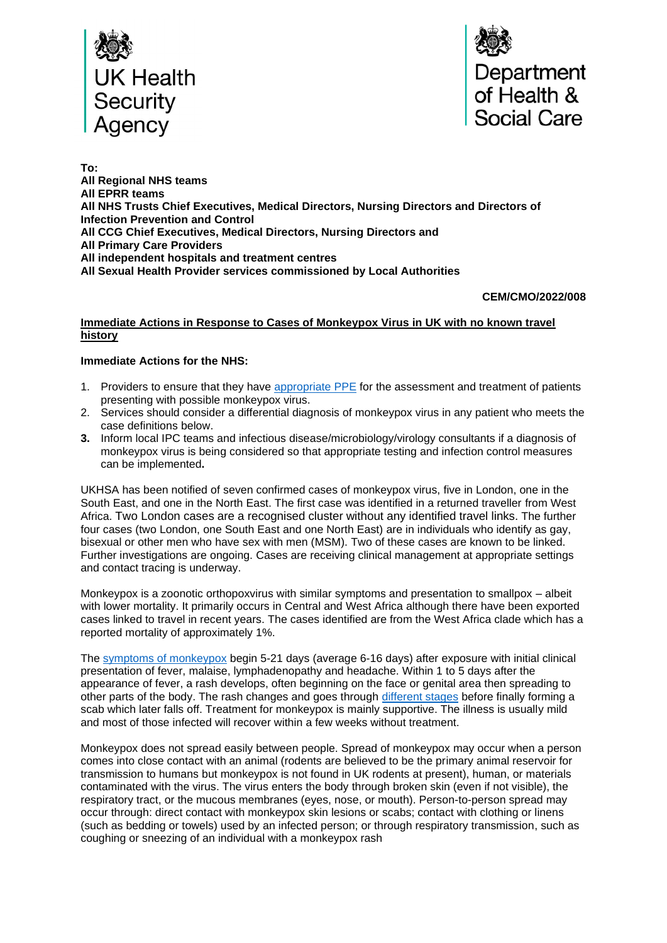



**To: All Regional NHS teams All EPRR teams All NHS Trusts Chief Executives, Medical Directors, Nursing Directors and Directors of Infection Prevention and Control All CCG Chief Executives, Medical Directors, Nursing Directors and All Primary Care Providers All independent hospitals and treatment centres All Sexual Health Provider services commissioned by Local Authorities**

## **CEM/CMO/2022/008**

#### **Immediate Actions in Response to Cases of Monkeypox Virus in UK with no known travel history**

### **Immediate Actions for the NHS:**

- 1. Providers to ensure that they have [appropriate PPE](https://www.gov.uk/guidance/monkeypox#infection-prevention-and-control) for the assessment and treatment of patients presenting with possible monkeypox virus.
- 2. Services should consider a differential diagnosis of monkeypox virus in any patient who meets the case definitions below.
- **3.** Inform local IPC teams and infectious disease/microbiology/virology consultants if a diagnosis of monkeypox virus is being considered so that appropriate testing and infection control measures can be implemented**.**

UKHSA has been notified of seven confirmed cases of monkeypox virus, five in London, one in the South East, and one in the North East. The first case was identified in a returned traveller from West Africa. Two London cases are a recognised cluster without any identified travel links. The further four cases (two London, one South East and one North East) are in individuals who identify as gay, bisexual or other men who have sex with men (MSM). Two of these cases are known to be linked. Further investigations are ongoing. Cases are receiving clinical management at appropriate settings and contact tracing is underway.

Monkeypox is a zoonotic orthopoxvirus with similar symptoms and presentation to smallpox – albeit with lower mortality. It primarily occurs in Central and West Africa although there have been exported cases linked to travel in recent years. The cases identified are from the West Africa clade which has a reported mortality of approximately 1%.

The [symptoms of monkeypox](https://www.gov.uk/guidance/monkeypox%20-%20clinical-features) begin 5-21 days (average 6-16 days) after exposure with initial clinical presentation of fever, malaise, lymphadenopathy and headache. Within 1 to 5 days after the appearance of fever, a rash develops, often beginning on the face or genital area then spreading to other parts of the body. The rash changes and goes through [different stages](https://www.gov.uk/guidance/monkeypox) before finally forming a scab which later falls off. Treatment for monkeypox is mainly supportive. The illness is usually mild and most of those infected will recover within a few weeks without treatment.

Monkeypox does not spread easily between people. Spread of monkeypox may occur when a person comes into close contact with an animal (rodents are believed to be the primary animal reservoir for transmission to humans but monkeypox is not found in UK rodents at present), human, or materials contaminated with the virus. The virus enters the body through broken skin (even if not visible), the respiratory tract, or the mucous membranes (eyes, nose, or mouth). Person-to-person spread may occur through: direct contact with monkeypox skin lesions or scabs; contact with clothing or linens (such as bedding or towels) used by an infected person; or through respiratory transmission, such as coughing or sneezing of an individual with a monkeypox rash